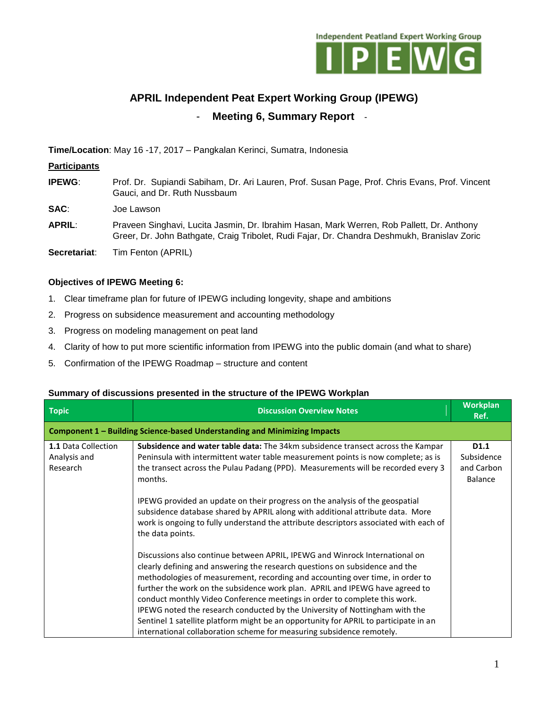

# **APRIL Independent Peat Expert Working Group (IPEWG)** - **Meeting 6, Summary Report** -

**Time/Location**: May 16 -17, 2017 – Pangkalan Kerinci, Sumatra, Indonesia

## **Participants**

**IPEWG**: Prof. Dr. Supiandi Sabiham, Dr. Ari Lauren, Prof. Susan Page, Prof. Chris Evans, Prof. Vincent Gauci, and Dr. Ruth Nussbaum

**SAC**: Joe Lawson

**APRIL**: Praveen Singhavi, Lucita Jasmin, Dr. Ibrahim Hasan, Mark Werren, Rob Pallett, Dr. Anthony Greer, Dr. John Bathgate, Craig Tribolet, Rudi Fajar, Dr. Chandra Deshmukh, Branislav Zoric

**Secretariat**: Tim Fenton (APRIL)

### **Objectives of IPEWG Meeting 6:**

- 1. Clear timeframe plan for future of IPEWG including longevity, shape and ambitions
- 2. Progress on subsidence measurement and accounting methodology
- 3. Progress on modeling management on peat land
- 4. Clarity of how to put more scientific information from IPEWG into the public domain (and what to share)
- 5. Confirmation of the IPEWG Roadmap structure and content

#### **Topic Discussion Overview Notes Workplan Ref. Component 1 – Building Science-based Understanding and Minimizing Impacts 1.1** Data Collection Analysis and Research **Subsidence and water table data:** The 34km subsidence transect across the Kampar Peninsula with intermittent water table measurement points is now complete; as is the transect across the Pulau Padang (PPD). Measurements will be recorded every 3 months. IPEWG provided an update on their progress on the analysis of the geospatial subsidence database shared by APRIL along with additional attribute data. More work is ongoing to fully understand the attribute descriptors associated with each of the data points. Discussions also continue between APRIL, IPEWG and Winrock International on clearly defining and answering the research questions on subsidence and the methodologies of measurement, recording and accounting over time, in order to further the work on the subsidence work plan. APRIL and IPEWG have agreed to conduct monthly Video Conference meetings in order to complete this work. IPEWG noted the research conducted by the University of Nottingham with the Sentinel 1 satellite platform might be an opportunity for APRIL to participate in an international collaboration scheme for measuring subsidence remotely. **D1.1** Subsidence and Carbon Balance

#### **Summary of discussions presented in the structure of the IPEWG Workplan**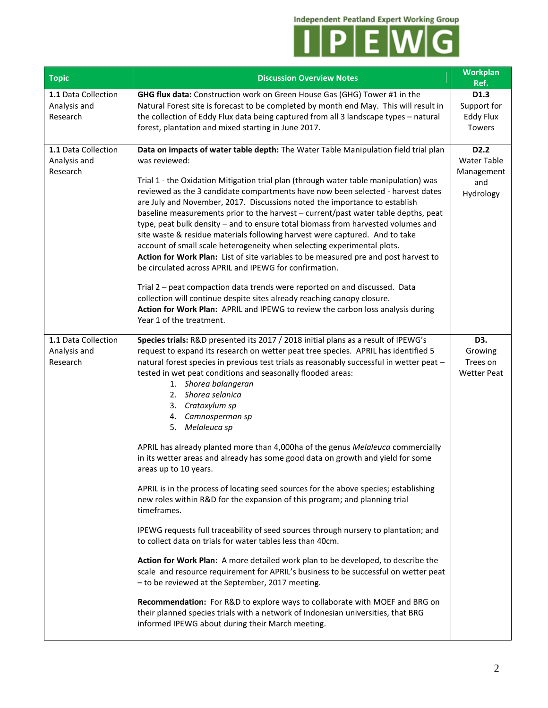**Independent Peatland Expert Working Group** 



| <b>Topic</b>                                    | <b>Discussion Overview Notes</b>                                                                                                                                                                                                                                                                                                                                                                                                                                                                                                                                                                                                                                                                                                                                                                                                                                                                                                 | Workplan<br>Ref.                                                   |
|-------------------------------------------------|----------------------------------------------------------------------------------------------------------------------------------------------------------------------------------------------------------------------------------------------------------------------------------------------------------------------------------------------------------------------------------------------------------------------------------------------------------------------------------------------------------------------------------------------------------------------------------------------------------------------------------------------------------------------------------------------------------------------------------------------------------------------------------------------------------------------------------------------------------------------------------------------------------------------------------|--------------------------------------------------------------------|
| 1.1 Data Collection<br>Analysis and<br>Research | GHG flux data: Construction work on Green House Gas (GHG) Tower #1 in the<br>Natural Forest site is forecast to be completed by month end May. This will result in<br>the collection of Eddy Flux data being captured from all 3 landscape types - natural<br>forest, plantation and mixed starting in June 2017.                                                                                                                                                                                                                                                                                                                                                                                                                                                                                                                                                                                                                | D1.3<br>Support for<br><b>Eddy Flux</b><br><b>Towers</b>           |
| 1.1 Data Collection<br>Analysis and<br>Research | Data on impacts of water table depth: The Water Table Manipulation field trial plan<br>was reviewed:<br>Trial 1 - the Oxidation Mitigation trial plan (through water table manipulation) was<br>reviewed as the 3 candidate compartments have now been selected - harvest dates<br>are July and November, 2017. Discussions noted the importance to establish<br>baseline measurements prior to the harvest - current/past water table depths, peat<br>type, peat bulk density - and to ensure total biomass from harvested volumes and<br>site waste & residue materials following harvest were captured. And to take<br>account of small scale heterogeneity when selecting experimental plots.<br>Action for Work Plan: List of site variables to be measured pre and post harvest to<br>be circulated across APRIL and IPEWG for confirmation.<br>Trial 2 - peat compaction data trends were reported on and discussed. Data | D <sub>2</sub> .2<br>Water Table<br>Management<br>and<br>Hydrology |
|                                                 | collection will continue despite sites already reaching canopy closure.<br>Action for Work Plan: APRIL and IPEWG to review the carbon loss analysis during<br>Year 1 of the treatment.                                                                                                                                                                                                                                                                                                                                                                                                                                                                                                                                                                                                                                                                                                                                           |                                                                    |
| 1.1 Data Collection<br>Analysis and<br>Research | Species trials: R&D presented its 2017 / 2018 initial plans as a result of IPEWG's<br>request to expand its research on wetter peat tree species. APRIL has identified 5<br>natural forest species in previous test trials as reasonably successful in wetter peat -<br>tested in wet peat conditions and seasonally flooded areas:<br>1. Shorea balangeran<br>2. Shorea selanica<br>3. Cratoxylum sp<br>4. Camnosperman sp<br>5. Melaleuca sp                                                                                                                                                                                                                                                                                                                                                                                                                                                                                   | D3.<br>Growing<br>Trees on<br><b>Wetter Peat</b>                   |
|                                                 | APRIL has already planted more than 4,000ha of the genus Melaleuca commercially<br>in its wetter areas and already has some good data on growth and yield for some<br>areas up to 10 years.                                                                                                                                                                                                                                                                                                                                                                                                                                                                                                                                                                                                                                                                                                                                      |                                                                    |
|                                                 | APRIL is in the process of locating seed sources for the above species; establishing<br>new roles within R&D for the expansion of this program; and planning trial<br>timeframes.                                                                                                                                                                                                                                                                                                                                                                                                                                                                                                                                                                                                                                                                                                                                                |                                                                    |
|                                                 | IPEWG requests full traceability of seed sources through nursery to plantation; and<br>to collect data on trials for water tables less than 40cm.                                                                                                                                                                                                                                                                                                                                                                                                                                                                                                                                                                                                                                                                                                                                                                                |                                                                    |
|                                                 | Action for Work Plan: A more detailed work plan to be developed, to describe the<br>scale and resource requirement for APRIL's business to be successful on wetter peat<br>- to be reviewed at the September, 2017 meeting.                                                                                                                                                                                                                                                                                                                                                                                                                                                                                                                                                                                                                                                                                                      |                                                                    |
|                                                 | Recommendation: For R&D to explore ways to collaborate with MOEF and BRG on<br>their planned species trials with a network of Indonesian universities, that BRG<br>informed IPEWG about during their March meeting.                                                                                                                                                                                                                                                                                                                                                                                                                                                                                                                                                                                                                                                                                                              |                                                                    |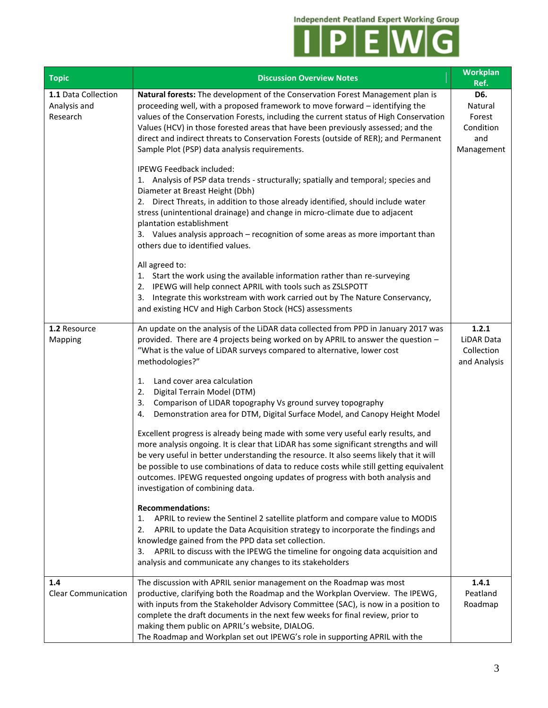

| <b>Topic</b>                                    | <b>Discussion Overview Notes</b>                                                                                                                                                                                                                                                                                                                                                                                                                                                    | Workplan<br>Ref.                                           |
|-------------------------------------------------|-------------------------------------------------------------------------------------------------------------------------------------------------------------------------------------------------------------------------------------------------------------------------------------------------------------------------------------------------------------------------------------------------------------------------------------------------------------------------------------|------------------------------------------------------------|
| 1.1 Data Collection<br>Analysis and<br>Research | Natural forests: The development of the Conservation Forest Management plan is<br>proceeding well, with a proposed framework to move forward - identifying the<br>values of the Conservation Forests, including the current status of High Conservation<br>Values (HCV) in those forested areas that have been previously assessed; and the<br>direct and indirect threats to Conservation Forests (outside of RER); and Permanent<br>Sample Plot (PSP) data analysis requirements. | D6.<br>Natural<br>Forest<br>Condition<br>and<br>Management |
|                                                 | IPEWG Feedback included:<br>1. Analysis of PSP data trends - structurally; spatially and temporal; species and<br>Diameter at Breast Height (Dbh)<br>2. Direct Threats, in addition to those already identified, should include water<br>stress (unintentional drainage) and change in micro-climate due to adjacent<br>plantation establishment<br>3. Values analysis approach - recognition of some areas as more important than<br>others due to identified values.              |                                                            |
|                                                 | All agreed to:<br>1. Start the work using the available information rather than re-surveying<br>2. IPEWG will help connect APRIL with tools such as ZSLSPOTT<br>3. Integrate this workstream with work carried out by The Nature Conservancy,<br>and existing HCV and High Carbon Stock (HCS) assessments                                                                                                                                                                           |                                                            |
| 1.2 Resource<br>Mapping                         | An update on the analysis of the LiDAR data collected from PPD in January 2017 was<br>provided. There are 4 projects being worked on by APRIL to answer the question -<br>"What is the value of LiDAR surveys compared to alternative, lower cost<br>methodologies?"                                                                                                                                                                                                                | 1.2.1<br>LiDAR Data<br>Collection<br>and Analysis          |
|                                                 | Land cover area calculation<br>1.<br>Digital Terrain Model (DTM)<br>2.<br>Comparison of LIDAR topography Vs ground survey topography<br>3.<br>Demonstration area for DTM, Digital Surface Model, and Canopy Height Model<br>4.                                                                                                                                                                                                                                                      |                                                            |
|                                                 | Excellent progress is already being made with some very useful early results, and<br>more analysis ongoing. It is clear that LiDAR has some significant strengths and will<br>be very useful in better understanding the resource. It also seems likely that it will<br>be possible to use combinations of data to reduce costs while still getting equivalent<br>outcomes. IPEWG requested ongoing updates of progress with both analysis and<br>investigation of combining data.  |                                                            |
|                                                 | <b>Recommendations:</b><br>APRIL to review the Sentinel 2 satellite platform and compare value to MODIS<br>1.<br>2.<br>APRIL to update the Data Acquisition strategy to incorporate the findings and<br>knowledge gained from the PPD data set collection.<br>APRIL to discuss with the IPEWG the timeline for ongoing data acquisition and<br>3.<br>analysis and communicate any changes to its stakeholders                                                                       |                                                            |
| 1.4<br><b>Clear Communication</b>               | The discussion with APRIL senior management on the Roadmap was most<br>productive, clarifying both the Roadmap and the Workplan Overview. The IPEWG,<br>with inputs from the Stakeholder Advisory Committee (SAC), is now in a position to<br>complete the draft documents in the next few weeks for final review, prior to<br>making them public on APRIL's website, DIALOG.<br>The Roadmap and Workplan set out IPEWG's role in supporting APRIL with the                         | 1.4.1<br>Peatland<br>Roadmap                               |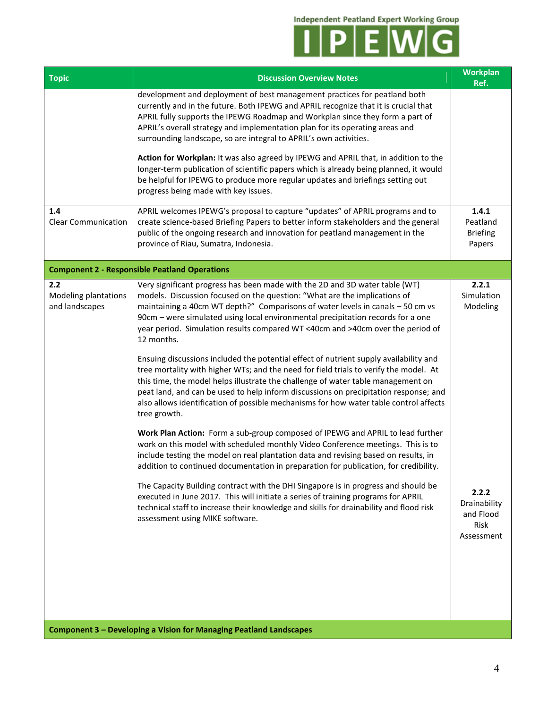

| <b>Topic</b>                                  | <b>Discussion Overview Notes</b>                                                                                                                                                                                                                                                                                                                                                                                                                                                                                                                                                                                                                                                                                                                                                                                                                                                                                                                                                                                                                                                                                                                                                                                                                                                                                                                                                                                                                                                                                                                                 | Workplan<br>Ref.                                                                            |
|-----------------------------------------------|------------------------------------------------------------------------------------------------------------------------------------------------------------------------------------------------------------------------------------------------------------------------------------------------------------------------------------------------------------------------------------------------------------------------------------------------------------------------------------------------------------------------------------------------------------------------------------------------------------------------------------------------------------------------------------------------------------------------------------------------------------------------------------------------------------------------------------------------------------------------------------------------------------------------------------------------------------------------------------------------------------------------------------------------------------------------------------------------------------------------------------------------------------------------------------------------------------------------------------------------------------------------------------------------------------------------------------------------------------------------------------------------------------------------------------------------------------------------------------------------------------------------------------------------------------------|---------------------------------------------------------------------------------------------|
|                                               | development and deployment of best management practices for peatland both<br>currently and in the future. Both IPEWG and APRIL recognize that it is crucial that<br>APRIL fully supports the IPEWG Roadmap and Workplan since they form a part of<br>APRIL's overall strategy and implementation plan for its operating areas and<br>surrounding landscape, so are integral to APRIL's own activities.                                                                                                                                                                                                                                                                                                                                                                                                                                                                                                                                                                                                                                                                                                                                                                                                                                                                                                                                                                                                                                                                                                                                                           |                                                                                             |
|                                               | Action for Workplan: It was also agreed by IPEWG and APRIL that, in addition to the<br>longer-term publication of scientific papers which is already being planned, it would<br>be helpful for IPEWG to produce more regular updates and briefings setting out<br>progress being made with key issues.                                                                                                                                                                                                                                                                                                                                                                                                                                                                                                                                                                                                                                                                                                                                                                                                                                                                                                                                                                                                                                                                                                                                                                                                                                                           |                                                                                             |
| 1.4<br><b>Clear Communication</b>             | APRIL welcomes IPEWG's proposal to capture "updates" of APRIL programs and to<br>create science-based Briefing Papers to better inform stakeholders and the general<br>public of the ongoing research and innovation for peatland management in the<br>province of Riau, Sumatra, Indonesia.                                                                                                                                                                                                                                                                                                                                                                                                                                                                                                                                                                                                                                                                                                                                                                                                                                                                                                                                                                                                                                                                                                                                                                                                                                                                     | 1.4.1<br>Peatland<br><b>Briefing</b><br>Papers                                              |
|                                               | <b>Component 2 - Responsible Peatland Operations</b>                                                                                                                                                                                                                                                                                                                                                                                                                                                                                                                                                                                                                                                                                                                                                                                                                                                                                                                                                                                                                                                                                                                                                                                                                                                                                                                                                                                                                                                                                                             |                                                                                             |
| 2.2<br>Modeling plantations<br>and landscapes | Very significant progress has been made with the 2D and 3D water table (WT)<br>models. Discussion focused on the question: "What are the implications of<br>maintaining a 40cm WT depth?" Comparisons of water levels in canals - 50 cm vs<br>90cm - were simulated using local environmental precipitation records for a one<br>year period. Simulation results compared WT <40cm and >40cm over the period of<br>12 months.<br>Ensuing discussions included the potential effect of nutrient supply availability and<br>tree mortality with higher WTs; and the need for field trials to verify the model. At<br>this time, the model helps illustrate the challenge of water table management on<br>peat land, and can be used to help inform discussions on precipitation response; and<br>also allows identification of possible mechanisms for how water table control affects<br>tree growth.<br>Work Plan Action: Form a sub-group composed of IPEWG and APRIL to lead further<br>work on this model with scheduled monthly Video Conference meetings. This is to<br>include testing the model on real plantation data and revising based on results, in<br>addition to continued documentation in preparation for publication, for credibility.<br>The Capacity Building contract with the DHI Singapore is in progress and should be<br>executed in June 2017. This will initiate a series of training programs for APRIL<br>technical staff to increase their knowledge and skills for drainability and flood risk<br>assessment using MIKE software. | 2.2.1<br>Simulation<br>Modeling<br>2.2.2<br>Drainability<br>and Flood<br>Risk<br>Assessment |
|                                               | <b>Component 3 - Developing a Vision for Managing Peatland Landscapes</b>                                                                                                                                                                                                                                                                                                                                                                                                                                                                                                                                                                                                                                                                                                                                                                                                                                                                                                                                                                                                                                                                                                                                                                                                                                                                                                                                                                                                                                                                                        |                                                                                             |